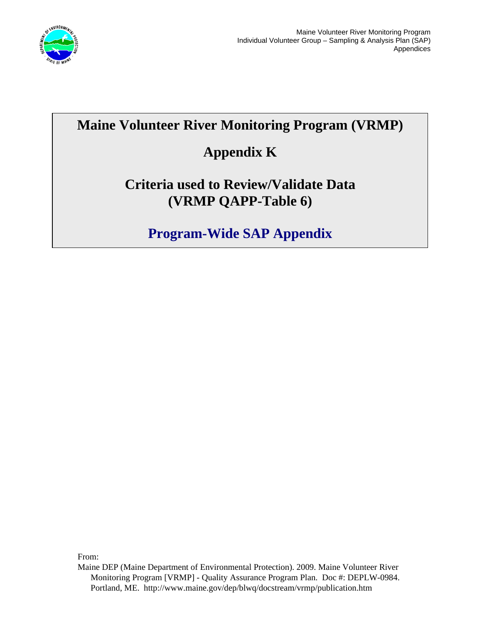

# **Maine Volunteer River Monitoring Program (VRMP)**

# **Appendix K**

### **Criteria used to Review/Validate Data (VRMP QAPP-Table 6)**

# **Program-Wide SAP Appendix**

From:

Maine DEP (Maine Department of Environmental Protection). 2009. Maine Volunteer River Monitoring Program [VRMP] - Quality Assurance Program Plan. Doc #: DEPLW-0984. Portland, ME. http://www.maine.gov/dep/blwq/docstream/vrmp/publication.htm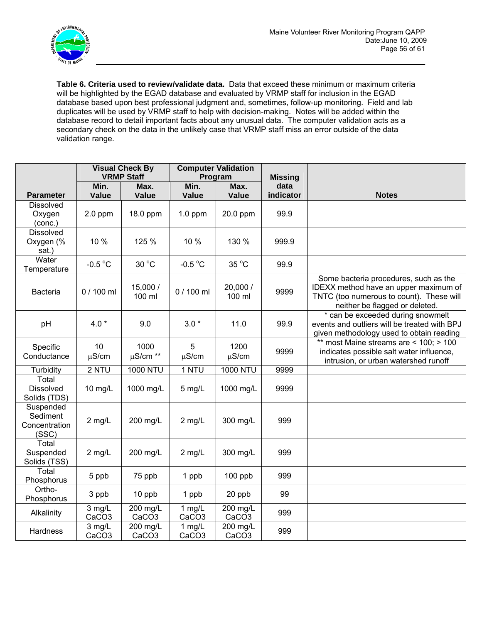

**Table 6. Criteria used to review/validate data.** Data that exceed these minimum or maximum criteria will be highlighted by the EGAD database and evaluated by VRMP staff for inclusion in the EGAD database based upon best professional judgment and, sometimes, follow-up monitoring. Field and lab duplicates will be used by VRMP staff to help with decision-making. Notes will be added within the database record to detail important facts about any unusual data. The computer validation acts as a secondary check on the data in the unlikely case that VRMP staff miss an error outside of the data validation range.

|                                                 | <b>Visual Check By</b><br><b>VRMP Staff</b> |                                            | <b>Computer Validation</b><br>Program |                                            | <b>Missing</b>    |                                                                                                                                                              |
|-------------------------------------------------|---------------------------------------------|--------------------------------------------|---------------------------------------|--------------------------------------------|-------------------|--------------------------------------------------------------------------------------------------------------------------------------------------------------|
| <b>Parameter</b>                                | Min.<br><b>Value</b>                        | Max.<br>Value                              | Min.<br>Value                         | Max.<br>Value                              | data<br>indicator | <b>Notes</b>                                                                                                                                                 |
| <b>Dissolved</b><br>Oxygen<br>(conc.)           | $2.0$ ppm                                   | 18.0 ppm                                   | $1.0$ ppm                             | 20.0 ppm                                   | 99.9              |                                                                                                                                                              |
| <b>Dissolved</b><br>Oxygen (%<br>sat.)          | 10 %                                        | 125 %                                      | 10 %                                  | 130 %                                      | 999.9             |                                                                                                                                                              |
| Water<br>Temperature                            | $-0.5$ °C                                   | 30 °C                                      | $-0.5$ °C                             | 35 °C                                      | 99.9              |                                                                                                                                                              |
| <b>Bacteria</b>                                 | 0 / 100 ml                                  | 15,000 /<br>100 ml                         | 0 / 100 ml                            | 20,000 /<br>100 ml                         | 9999              | Some bacteria procedures, such as the<br>IDEXX method have an upper maximum of<br>TNTC (too numerous to count). These will<br>neither be flagged or deleted. |
| pH                                              | $4.0*$                                      | 9.0                                        | $3.0*$                                | 11.0                                       | 99.9              | * can be exceeded during snowmelt<br>events and outliers will be treated with BPJ<br>given methodology used to obtain reading                                |
| Specific<br>Conductance                         | 10<br>$\mu$ S/cm                            | 1000<br>µS/cm **                           | $5\phantom{.0}$<br>$\mu$ S/cm         | 1200<br>$\mu$ S/cm                         | 9999              | ** most Maine streams are $<$ 100; > 100<br>indicates possible salt water influence,<br>intrusion, or urban watershed runoff                                 |
| Turbidity                                       | 2 NTU                                       | <b>1000 NTU</b>                            | 1 NTU                                 | <b>1000 NTU</b>                            | 9999              |                                                                                                                                                              |
| Total<br><b>Dissolved</b><br>Solids (TDS)       | 10 mg/L                                     | 1000 mg/L                                  | $5$ mg/L                              | 1000 mg/L                                  | 9999              |                                                                                                                                                              |
| Suspended<br>Sediment<br>Concentration<br>(SSC) | $2$ mg/L                                    | 200 mg/L                                   | 2 mg/L                                | 300 mg/L                                   | 999               |                                                                                                                                                              |
| Total<br>Suspended<br>Solids (TSS)              | 2 mg/L                                      | 200 mg/L                                   | 2 mg/L                                | 300 mg/L                                   | 999               |                                                                                                                                                              |
| Total<br>Phosphorus                             | 5 ppb                                       | 75 ppb                                     | 1 ppb                                 | $100$ ppb                                  | 999               |                                                                                                                                                              |
| Ortho-<br>Phosphorus                            | 3 ppb                                       | 10 ppb                                     | 1 ppb                                 | 20 ppb                                     | 99                |                                                                                                                                                              |
| Alkalinity                                      | 3 mg/L<br>CaCO <sub>3</sub>                 | $\overline{200}$ mg/L<br>CaCO <sub>3</sub> | $1$ mg/L<br>CaCO <sub>3</sub>         | $\overline{200}$ mg/L<br>CaCO <sub>3</sub> | 999               |                                                                                                                                                              |
| Hardness                                        | 3 mg/L<br>CaCO <sub>3</sub>                 | 200 mg/L<br>CaCO <sub>3</sub>              | 1 mg/L<br>CaCO <sub>3</sub>           | 200 mg/L<br>CaCO <sub>3</sub>              | 999               |                                                                                                                                                              |